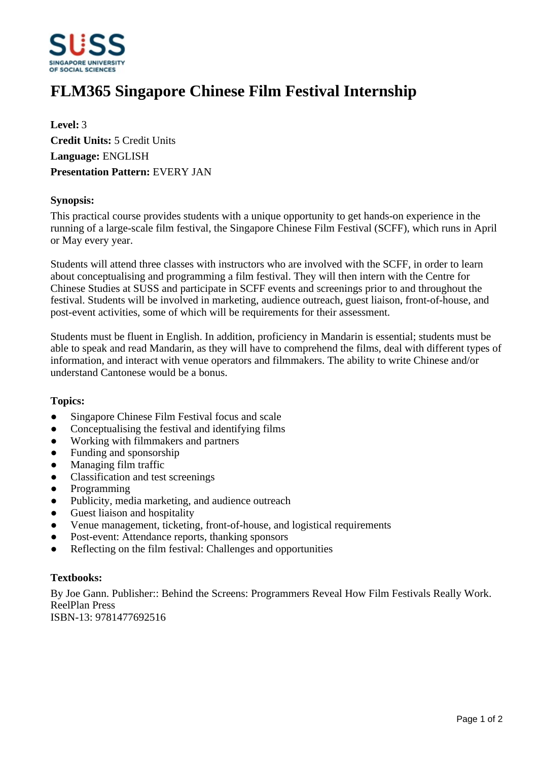

# **FLM365 Singapore Chinese Film Festival Internship**

**Level:** 3 **Credit Units:** 5 Credit Units **Language:** ENGLISH **Presentation Pattern:** EVERY JAN

#### **Synopsis:**

This practical course provides students with a unique opportunity to get hands-on experience in the running of a large-scale film festival, the Singapore Chinese Film Festival (SCFF), which runs in April or May every year.

Students will attend three classes with instructors who are involved with the SCFF, in order to learn about conceptualising and programming a film festival. They will then intern with the Centre for Chinese Studies at SUSS and participate in SCFF events and screenings prior to and throughout the festival. Students will be involved in marketing, audience outreach, guest liaison, front-of-house, and post-event activities, some of which will be requirements for their assessment.

Students must be fluent in English. In addition, proficiency in Mandarin is essential; students must be able to speak and read Mandarin, as they will have to comprehend the films, deal with different types of information, and interact with venue operators and filmmakers. The ability to write Chinese and/or understand Cantonese would be a bonus.

#### **Topics:**

- Singapore Chinese Film Festival focus and scale
- Conceptualising the festival and identifying films
- Working with filmmakers and partners
- Funding and sponsorship
- $\bullet$  Managing film traffic
- Classification and test screenings
- Programming
- Publicity, media marketing, and audience outreach
- Guest liaison and hospitality
- Venue management, ticketing, front-of-house, and logistical requirements
- Post-event: Attendance reports, thanking sponsors
- Reflecting on the film festival: Challenges and opportunities

#### **Textbooks:**

By Joe Gann. Publisher:: Behind the Screens: Programmers Reveal How Film Festivals Really Work. ReelPlan Press ISBN-13: 9781477692516